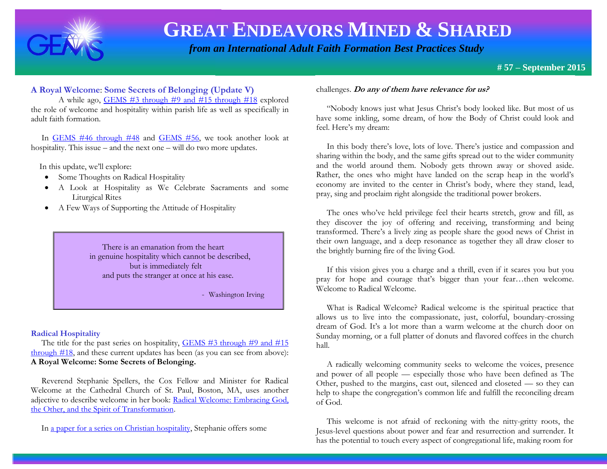

 *from an International Adult Faith Formation Best Practices Study*

**# 57 – September 2015**

### **A Royal Welcome**: **Some Secrets of Belonging (Update V)**

A while ago, [GEMS #3 through #9 and #15 through #18](http://www.janetschaeffler.com/Best-Practices.html) explored the role of welcome and hospitality within parish life as well as specifically in adult faith formation.

In [GEMS #46 through #48](http://www.janetschaeffler.com/Best-Practices.html) and [GEMS #56,](http://www.janetschaeffler.com/GEMS__56.pdf) we took another look at hospitality. This issue – and the next one – will do two more updates.

In this update, we'll explore:

- Some Thoughts on Radical Hospitality
- A Look at Hospitality as We Celebrate Sacraments and some Liturgical Rites
- A Few Ways of Supporting the Attitude of Hospitality

 There is an emanation from the heart in genuine hospitality which cannot be described, but is immediately felt and puts the stranger at once at his ease.

- Washington Irving

#### **Radical Hospitality**

The title for the past series on hospitality, GEMS #3 through #9 and #15 [through #18,](http://www.janetschaeffler.com/Best-Practices.html) and these current updates has been (as you can see from above): **A Royal Welcome: Some Secrets of Belonging.**

 Reverend Stephanie Spellers, the Cox Fellow and Minister for Radical Welcome at the Cathedral Church of St. Paul, Boston, MA, uses another adjective to describe welcome in her book: [Radical Welcome: Embracing God,](http://www.amazon.com/Radical-Welcome-Embracing-Spirit-Transformation/dp/0898695201/ref=sr_1_1?ie=UTF8&qid=1389111989&sr=8-1&keywords=radical+welcome+stephanie+spellers)  [the Other, and the Spirit of Transformation.](http://www.amazon.com/Radical-Welcome-Embracing-Spirit-Transformation/dp/0898695201/ref=sr_1_1?ie=UTF8&qid=1389111989&sr=8-1&keywords=radical+welcome+stephanie+spellers) 

In [a paper for a series on Christian hospitality,](http://www.ecfvp.org/vestrypapers/christian-hospitality-2/radical-welcome-embracing-the-other/) Stephanie offers some

#### challenges. **Do any of them have relevance for us?**

 "Nobody knows just what Jesus Christ's body looked like. But most of us have some inkling, some dream, of how the Body of Christ could look and feel. Here's my dream:

 In this body there's love, lots of love. There's justice and compassion and sharing within the body, and the same gifts spread out to the wider community and the world around them. Nobody gets thrown away or shoved aside. Rather, the ones who might have landed on the scrap heap in the world's economy are invited to the center in Christ's body, where they stand, lead, pray, sing and proclaim right alongside the traditional power brokers.

 The ones who've held privilege feel their hearts stretch, grow and fill, as they discover the joy of offering and receiving, transforming and being transformed. There's a lively zing as people share the good news of Christ in their own language, and a deep resonance as together they all draw closer to the brightly burning fire of the living God.

 If this vision gives you a charge and a thrill, even if it scares you but you pray for hope and courage that's bigger than your fear…then welcome. Welcome to Radical Welcome.

 What is Radical Welcome? Radical welcome is the spiritual practice that allows us to live into the compassionate, just, colorful, boundary-crossing dream of God. It's a lot more than a warm welcome at the church door on Sunday morning, or a full platter of donuts and flavored coffees in the church hall.

 A radically welcoming community seeks to welcome the voices, presence and power of all people — especially those who have been defined as The Other, pushed to the margins, cast out, silenced and closeted — so they can help to shape the congregation's common life and fulfill the reconciling dream of God.

 This welcome is not afraid of reckoning with the nitty-gritty roots, the Jesus-level questions about power and fear and resurrection and surrender. It has the potential to touch every aspect of congregational life, making room for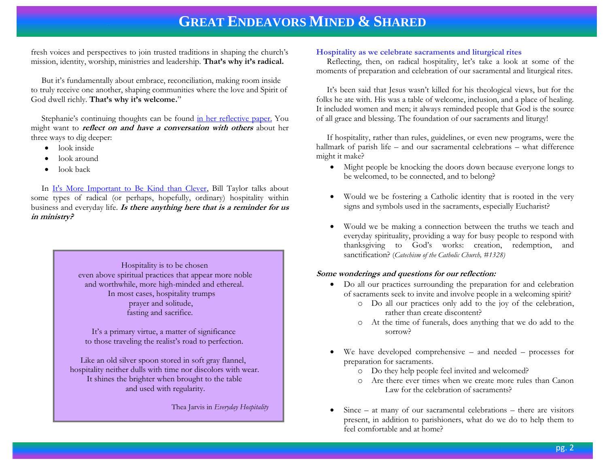fresh voices and perspectives to join trusted traditions in shaping the church's mission, identity, worship, ministries and leadership. **That's why it's radical.** 

 But it's fundamentally about embrace, reconciliation, making room inside to truly receive one another, shaping communities where the love and Spirit of God dwell richly. **That's why it's welcome.**"

 Stephanie's continuing thoughts can be found [in her reflective paper.](http://www.ecfvp.org/vestrypapers/christian-hospitality-2/radical-welcome-embracing-the-other/) You might want to **reflect on and have a conversation with others** about her three ways to dig deeper:

- look inside
- look around
- look back

 In [It's More Important to Be Kind than Clever,](http://blogs.hbr.org/2012/08/its-more-important-to-be-kind/) Bill Taylor talks about some types of radical (or perhaps, hopefully, ordinary) hospitality within business and everyday life. **Is there anything here that is a reminder for us in ministry?**

> Hospitality is to be chosen even above spiritual practices that appear more noble and worthwhile, more high-minded and ethereal. In most cases, hospitality trumps prayer and solitude, fasting and sacrifice.

It's a primary virtue, a matter of significance to those traveling the realist's road to perfection.

 Like an old silver spoon stored in soft gray flannel, hospitality neither dulls with time nor discolors with wear. It shines the brighter when brought to the table and used with regularity.

Thea Jarvis in *Everyday Hospitality*

#### **Hospitality as we celebrate sacraments and liturgical rites**

 Reflecting, then, on radical hospitality, let's take a look at some of the moments of preparation and celebration of our sacramental and liturgical rites.

 It's been said that Jesus wasn't killed for his theological views, but for the folks he ate with. His was a table of welcome, inclusion, and a place of healing. It included women and men; it always reminded people that God is the source of all grace and blessing. The foundation of our sacraments and liturgy!

 If hospitality, rather than rules, guidelines, or even new programs, were the hallmark of parish life – and our sacramental celebrations – what difference might it make?

- Might people be knocking the doors down because everyone longs to be welcomed, to be connected, and to belong?
- Would we be fostering a Catholic identity that is rooted in the very signs and symbols used in the sacraments, especially Eucharist?
- Would we be making a connection between the truths we teach and everyday spirituality, providing a way for busy people to respond with thanksgiving to God's works: creation, redemption, and sanctification? (*Catechism of the Catholic Church, #1328)*

### **Some wonderings and questions for our reflection:**

- Do all our practices surrounding the preparation for and celebration of sacraments seek to invite and involve people in a welcoming spirit?
	- o Do all our practices only add to the joy of the celebration, rather than create discontent?
	- o At the time of funerals, does anything that we do add to the sorrow?
- We have developed comprehensive and needed processes for preparation for sacraments.
	- o Do they help people feel invited and welcomed?
	- o Are there ever times when we create more rules than Canon Law for the celebration of sacraments?
- Since at many of our sacramental celebrations there are visitors present, in addition to parishioners, what do we do to help them to feel comfortable and at home?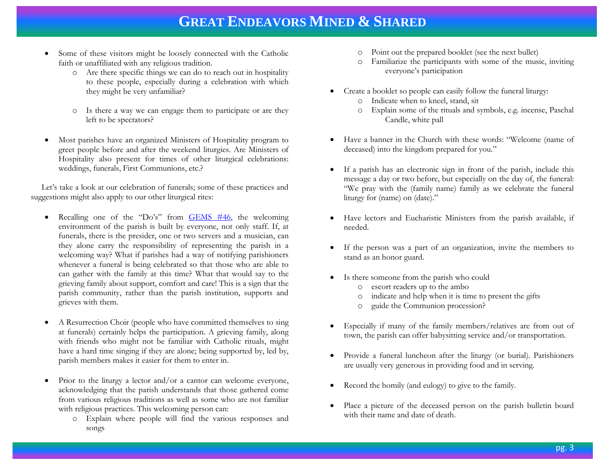- Some of these visitors might be loosely connected with the Catholic faith or unaffiliated with any religious tradition.
	- o Are there specific things we can do to reach out in hospitality to these people, especially during a celebration with which they might be very unfamiliar?
	- o Is there a way we can engage them to participate or are they left to be spectators?
- Most parishes have an organized Ministers of Hospitality program to greet people before and after the weekend liturgies. Are Ministers of Hospitality also present for times of other liturgical celebrations: weddings, funerals, First Communions, etc.?

 Let's take a look at our celebration of funerals; some of these practices and suggestions might also apply to our other liturgical rites:

- Recalling one of the "Do's" from  $GEMS$  #46, the welcoming environment of the parish is built by everyone, not only staff. If, at funerals, there is the presider, one or two servers and a musician, can they alone carry the responsibility of representing the parish in a welcoming way? What if parishes had a way of notifying parishioners whenever a funeral is being celebrated so that those who are able to can gather with the family at this time? What that would say to the grieving family about support, comfort and care! This is a sign that the parish community, rather than the parish institution, supports and grieves with them.
- A Resurrection Choir (people who have committed themselves to sing at funerals) certainly helps the participation. A grieving family, along with friends who might not be familiar with Catholic rituals, might have a hard time singing if they are alone; being supported by, led by, parish members makes it easier for them to enter in.
- Prior to the liturgy a lector and/or a cantor can welcome everyone, acknowledging that the parish understands that those gathered come from various religious traditions as well as some who are not familiar with religious practices. This welcoming person can:
	- o Explain where people will find the various responses and songs
- o Point out the prepared booklet (see the next bullet)
- Familiarize the participants with some of the music, inviting everyone's participation
- Create a booklet so people can easily follow the funeral liturgy:
	- o Indicate when to kneel, stand, sit
	- o Explain some of the rituals and symbols, e.g. incense, Paschal Candle, white pall
- Have a banner in the Church with these words: "Welcome (name of deceased) into the kingdom prepared for you."
- If a parish has an electronic sign in front of the parish, include this message a day or two before, but especially on the day of, the funeral: "We pray with the (family name) family as we celebrate the funeral liturgy for (name) on (date)."
- Have lectors and Eucharistic Ministers from the parish available, if needed.
- If the person was a part of an organization, invite the members to stand as an honor guard.
- Is there someone from the parish who could
	- o escort readers up to the ambo
	- o indicate and help when it is time to present the gifts
	- o guide the Communion procession?
- Especially if many of the family members/relatives are from out of town, the parish can offer babysitting service and/or transportation.
- Provide a funeral luncheon after the liturgy (or burial). Parishioners are usually very generous in providing food and in serving.
- Record the homily (and eulogy) to give to the family.
- Place a picture of the deceased person on the parish bulletin board with their name and date of death.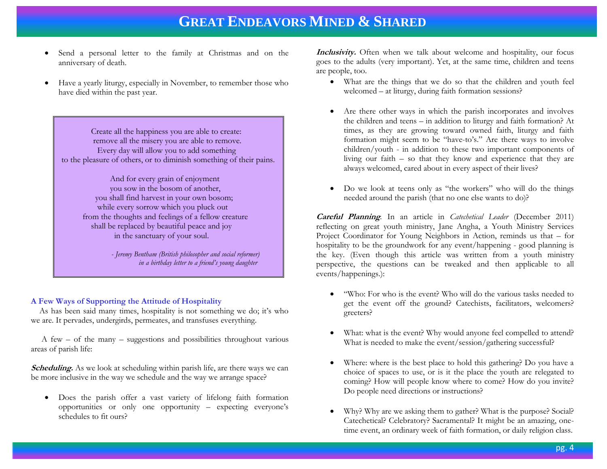- Send a personal letter to the family at Christmas and on the anniversary of death.
- Have a yearly liturgy, especially in November, to remember those who have died within the past year.

 Create all the happiness you are able to create: remove all the misery you are able to remove. Every day will allow you to add something to the pleasure of others, or to diminish something of their pains.

 And for every grain of enjoyment you sow in the bosom of another, you shall find harvest in your own bosom; while every sorrow which you pluck out from the thoughts and feelings of a fellow creature shall be replaced by beautiful peace and joy in the sanctuary of your soul.

> *- Jeremy Bentham (British philosopher and social reformer) in a birthday letter to a friend's young daughter*

### **A Few Ways of Supporting the Attitude of Hospitality**

 As has been said many times, hospitality is not something we do; it's who we are. It pervades, undergirds, permeates, and transfuses everything.

 A few – of the many – suggestions and possibilities throughout various areas of parish life:

**Scheduling.** As we look at scheduling within parish life, are there ways we can be more inclusive in the way we schedule and the way we arrange space?

 Does the parish offer a vast variety of lifelong faith formation opportunities or only one opportunity – expecting everyone's schedules to fit ours?

Inclusivity. Often when we talk about welcome and hospitality, our focus goes to the adults (very important). Yet, at the same time, children and teens are people, too.

- What are the things that we do so that the children and youth feel welcomed – at liturgy, during faith formation sessions?
- Are there other ways in which the parish incorporates and involves the children and teens – in addition to liturgy and faith formation? At times, as they are growing toward owned faith, liturgy and faith formation might seem to be "have-to's." Are there ways to involve children/youth - in addition to these two important components of living our faith – so that they know and experience that they are always welcomed, cared about in every aspect of their lives?
- Do we look at teens only as "the workers" who will do the things needed around the parish (that no one else wants to do)?

**Careful Planning**. In an article in *Catechetical Leader* (December 2011) reflecting on great youth ministry, Jane Angha, a Youth Ministry Services Project Coordinator for Young Neighbors in Action, reminds us that – for hospitality to be the groundwork for any event/happening - good planning is the key. (Even though this article was written from a youth ministry perspective, the questions can be tweaked and then applicable to all events/happenings.):

- "Who: For who is the event? Who will do the various tasks needed to get the event off the ground? Catechists, facilitators, welcomers? greeters?
- What: what is the event? Why would anyone feel compelled to attend? What is needed to make the event/session/gathering successful?
- Where: where is the best place to hold this gathering? Do you have a choice of spaces to use, or is it the place the youth are relegated to coming? How will people know where to come? How do you invite? Do people need directions or instructions?
- Why? Why are we asking them to gather? What is the purpose? Social? Catechetical? Celebratory? Sacramental? It might be an amazing, onetime event, an ordinary week of faith formation, or daily religion class.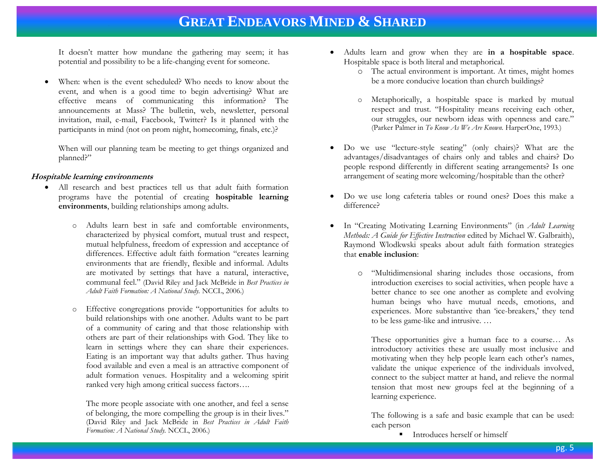It doesn't matter how mundane the gathering may seem; it has potential and possibility to be a life-changing event for someone.

 When: when is the event scheduled? Who needs to know about the event, and when is a good time to begin advertising? What are effective means of communicating this information? The announcements at Mass? The bulletin, web, newsletter, personal invitation, mail, e-mail, Facebook, Twitter? Is it planned with the participants in mind (not on prom night, homecoming, finals, etc.)?

When will our planning team be meeting to get things organized and planned?"

#### **Hospitable learning environments**

- All research and best practices tell us that adult faith formation programs have the potential of creating **hospitable learning environments**, building relationships among adults.
	- o Adults learn best in safe and comfortable environments, characterized by physical comfort, mutual trust and respect, mutual helpfulness, freedom of expression and acceptance of differences. Effective adult faith formation "creates learning environments that are friendly, flexible and informal. Adults are motivated by settings that have a natural, interactive, communal feel." (David Riley and Jack McBride in *Best Practices in Adult Faith Formation: A National Study.* NCCL, 2006.)
	- o Effective congregations provide "opportunities for adults to build relationships with one another. Adults want to be part of a community of caring and that those relationship with others are part of their relationships with God. They like to learn in settings where they can share their experiences. Eating is an important way that adults gather. Thus having food available and even a meal is an attractive component of adult formation venues. Hospitality and a welcoming spirit ranked very high among critical success factors….

The more people associate with one another, and feel a sense of belonging, the more compelling the group is in their lives." (David Riley and Jack McBride in *Best Practices in Adult Faith Formation: A National Study.* NCCL, 2006.)

- Adults learn and grow when they are **in a hospitable space**. Hospitable space is both literal and metaphorical.
	- o The actual environment is important. At times, might homes be a more conducive location than church buildings?
	- o Metaphorically, a hospitable space is marked by mutual respect and trust. "Hospitality means receiving each other, our struggles, our newborn ideas with openness and care." (Parker Palmer in *To Know As We Are Known.* HarperOne, 1993.)
- Do we use "lecture-style seating" (only chairs)? What are the advantages/disadvantages of chairs only and tables and chairs? Do people respond differently in different seating arrangements? Is one arrangement of seating more welcoming/hospitable than the other?
- Do we use long cafeteria tables or round ones? Does this make a difference?
- In "Creating Motivating Learning Environments" (in *Adult Learning Methods: A Guide for Effective Instruction* edited by Michael W. Galbraith), Raymond Wlodkwski speaks about adult faith formation strategies that **enable inclusion**:
	- o "Multidimensional sharing includes those occasions, from introduction exercises to social activities, when people have a better chance to see one another as complete and evolving human beings who have mutual needs, emotions, and experiences. More substantive than 'ice-breakers,' they tend to be less game-like and intrusive. …

These opportunities give a human face to a course… As introductory activities these are usually most inclusive and motivating when they help people learn each other's names, validate the unique experience of the individuals involved, connect to the subject matter at hand, and relieve the normal tension that most new groups feel at the beginning of a learning experience.

The following is a safe and basic example that can be used: each person

**Introduces herself or himself**